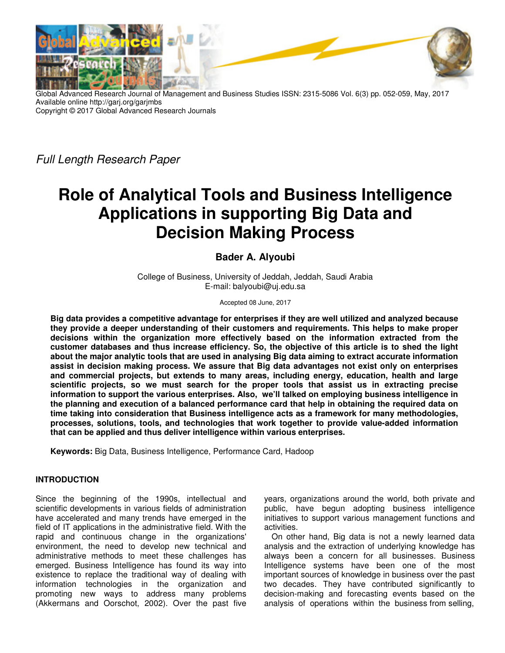

Global Advanced Research Journal of Management and Business Studies ISSN: 2315-5086 Vol. 6(3) pp. 052-059, May, 2017 Available online http://garj.org/garjmbs Copyright © 2017 Global Advanced Research Journals

Full Length Research Paper

# **Role of Analytical Tools and Business Intelligence Applications in supporting Big Data and Decision Making Process**

## **Bader A. Alyoubi**

College of Business, University of Jeddah, Jeddah, Saudi Arabia E-mail: balyoubi@uj.edu.sa

Accepted 08 June, 2017

**Big data provides a competitive advantage for enterprises if they are well utilized and analyzed because they provide a deeper understanding of their customers and requirements. This helps to make proper decisions within the organization more effectively based on the information extracted from the customer databases and thus increase efficiency. So, the objective of this article is to shed the light about the major analytic tools that are used in analysing Big data aiming to extract accurate information assist in decision making process. We assure that Big data advantages not exist only on enterprises and commercial projects, but extends to many areas, including energy, education, health and large scientific projects, so we must search for the proper tools that assist us in extracting precise information to support the various enterprises. Also, we'll talked on employing business intelligence in the planning and execution of a balanced performance card that help in obtaining the required data on time taking into consideration that Business intelligence acts as a framework for many methodologies, processes, solutions, tools, and technologies that work together to provide value-added information that can be applied and thus deliver intelligence within various enterprises.** 

**Keywords:** Big Data, Business Intelligence, Performance Card, Hadoop

## **INTRODUCTION**

Since the beginning of the 1990s, intellectual and scientific developments in various fields of administration have accelerated and many trends have emerged in the field of IT applications in the administrative field. With the rapid and continuous change in the organizations' environment, the need to develop new technical and administrative methods to meet these challenges has emerged. Business Intelligence has found its way into existence to replace the traditional way of dealing with information technologies in the organization and promoting new ways to address many problems (Akkermans and Oorschot, 2002). Over the past five

years, organizations around the world, both private and public, have begun adopting business intelligence initiatives to support various management functions and activities.

On other hand, Big data is not a newly learned data analysis and the extraction of underlying knowledge has always been a concern for all businesses. Business Intelligence systems have been one of the most important sources of knowledge in business over the past two decades. They have contributed significantly to decision-making and forecasting events based on the analysis of operations within the business from selling,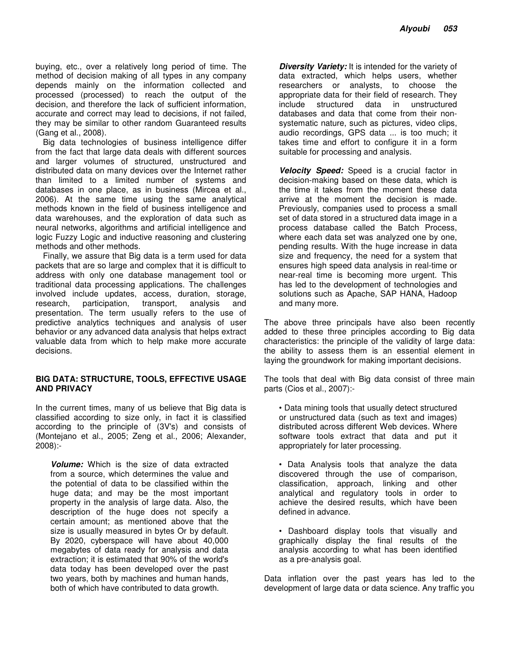buying, etc., over a relatively long period of time. The method of decision making of all types in any company depends mainly on the information collected and processed (processed) to reach the output of the decision, and therefore the lack of sufficient information, accurate and correct may lead to decisions, if not failed, they may be similar to other random Guaranteed results (Gang et al., 2008).

Big data technologies of business intelligence differ from the fact that large data deals with different sources and larger volumes of structured, unstructured and distributed data on many devices over the Internet rather than limited to a limited number of systems and databases in one place, as in business (Mircea et al., 2006). At the same time using the same analytical methods known in the field of business intelligence and data warehouses, and the exploration of data such as neural networks, algorithms and artificial intelligence and logic Fuzzy Logic and inductive reasoning and clustering methods and other methods.

Finally, we assure that Big data is a term used for data packets that are so large and complex that it is difficult to address with only one database management tool or traditional data processing applications. The challenges involved include updates, access, duration, storage, research, participation, transport, analysis and research, participation, transport, analysis and presentation. The term usually refers to the use of predictive analytics techniques and analysis of user behavior or any advanced data analysis that helps extract valuable data from which to help make more accurate decisions.

## **BIG DATA: STRUCTURE, TOOLS, EFFECTIVE USAGE AND PRIVACY**

In the current times, many of us believe that Big data is classified according to size only, in fact it is classified according to the principle of (3V's) and consists of (Montejano et al., 2005; Zeng et al., 2006; Alexander, 2008):-

*Volume:* Which is the size of data extracted from a source, which determines the value and the potential of data to be classified within the huge data; and may be the most important property in the analysis of large data. Also, the description of the huge does not specify a certain amount; as mentioned above that the size is usually measured in bytes Or by default. By 2020, cyberspace will have about 40,000 megabytes of data ready for analysis and data extraction; it is estimated that 90% of the world's data today has been developed over the past two years, both by machines and human hands, both of which have contributed to data growth.

**Diversity Variety:** It is intended for the variety of data extracted, which helps users, whether researchers or analysts, to choose the appropriate data for their field of research. They include structured data in unstructured databases and data that come from their nonsystematic nature, such as pictures, video clips, audio recordings, GPS data ... is too much; it takes time and effort to configure it in a form suitable for processing and analysis.

*Velocity Speed:* Speed is a crucial factor in decision-making based on these data, which is the time it takes from the moment these data arrive at the moment the decision is made. Previously, companies used to process a small set of data stored in a structured data image in a process database called the Batch Process, where each data set was analyzed one by one, pending results. With the huge increase in data size and frequency, the need for a system that ensures high speed data analysis in real-time or near-real time is becoming more urgent. This has led to the development of technologies and solutions such as Apache, SAP HANA, Hadoop and many more.

The above three principals have also been recently added to these three principles according to Big data characteristics: the principle of the validity of large data: the ability to assess them is an essential element in laying the groundwork for making important decisions.

The tools that deal with Big data consist of three main parts (Cios et al., 2007):-

- Data mining tools that usually detect structured or unstructured data (such as text and images) distributed across different Web devices. Where software tools extract that data and put it appropriately for later processing.
- Data Analysis tools that analyze the data discovered through the use of comparison, classification, approach, linking and other analytical and regulatory tools in order to achieve the desired results, which have been defined in advance.
- Dashboard display tools that visually and graphically display the final results of the analysis according to what has been identified as a pre-analysis goal.

Data inflation over the past years has led to the development of large data or data science. Any traffic you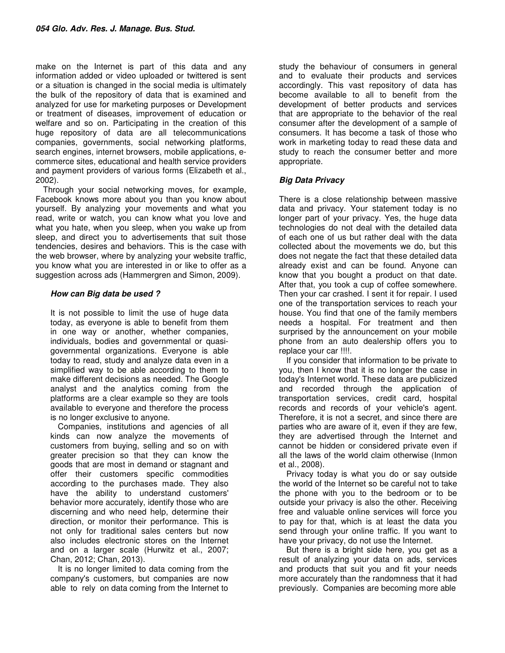make on the Internet is part of this data and any information added or video uploaded or twittered is sent or a situation is changed in the social media is ultimately the bulk of the repository of data that is examined and analyzed for use for marketing purposes or Development or treatment of diseases, improvement of education or welfare and so on. Participating in the creation of this huge repository of data are all telecommunications companies, governments, social networking platforms, search engines, internet browsers, mobile applications, ecommerce sites, educational and health service providers and payment providers of various forms (Elizabeth et al., 2002).

Through your social networking moves, for example, Facebook knows more about you than you know about yourself. By analyzing your movements and what you read, write or watch, you can know what you love and what you hate, when you sleep, when you wake up from sleep, and direct you to advertisements that suit those tendencies, desires and behaviors. This is the case with the web browser, where by analyzing your website traffic, you know what you are interested in or like to offer as a suggestion across ads (Hammergren and Simon, 2009).

## *How can Big data be used ?*

It is not possible to limit the use of huge data today, as everyone is able to benefit from them in one way or another, whether companies, individuals, bodies and governmental or quasigovernmental organizations. Everyone is able today to read, study and analyze data even in a simplified way to be able according to them to make different decisions as needed. The Google analyst and the analytics coming from the platforms are a clear example so they are tools available to everyone and therefore the process is no longer exclusive to anyone.

Companies, institutions and agencies of all kinds can now analyze the movements of customers from buying, selling and so on with greater precision so that they can know the goods that are most in demand or stagnant and offer their customers specific commodities according to the purchases made. They also have the ability to understand customers' behavior more accurately, identify those who are discerning and who need help, determine their direction, or monitor their performance. This is not only for traditional sales centers but now also includes electronic stores on the Internet and on a larger scale (Hurwitz et al., 2007; Chan, 2012; Chan, 2013).

It is no longer limited to data coming from the company's customers, but companies are now able to rely on data coming from the Internet to

study the behaviour of consumers in general and to evaluate their products and services accordingly. This vast repository of data has become available to all to benefit from the development of better products and services that are appropriate to the behavior of the real consumer after the development of a sample of consumers. It has become a task of those who work in marketing today to read these data and study to reach the consumer better and more appropriate.

## *Big Data Privacy*

There is a close relationship between massive data and privacy. Your statement today is no longer part of your privacy. Yes, the huge data technologies do not deal with the detailed data of each one of us but rather deal with the data collected about the movements we do, but this does not negate the fact that these detailed data already exist and can be found. Anyone can know that you bought a product on that date. After that, you took a cup of coffee somewhere. Then your car crashed. I sent it for repair. I used one of the transportation services to reach your house. You find that one of the family members needs a hospital. For treatment and then surprised by the announcement on your mobile phone from an auto dealership offers you to replace your car !!!!.

If you consider that information to be private to you, then I know that it is no longer the case in today's Internet world. These data are publicized and recorded through the application of transportation services, credit card, hospital records and records of your vehicle's agent. Therefore, it is not a secret, and since there are parties who are aware of it, even if they are few, they are advertised through the Internet and cannot be hidden or considered private even if all the laws of the world claim otherwise (Inmon et al., 2008).

Privacy today is what you do or say outside the world of the Internet so be careful not to take the phone with you to the bedroom or to be outside your privacy is also the other. Receiving free and valuable online services will force you to pay for that, which is at least the data you send through your online traffic. If you want to have your privacy, do not use the Internet.

But there is a bright side here, you get as a result of analyzing your data on ads, services and products that suit you and fit your needs more accurately than the randomness that it had previously. Companies are becoming more able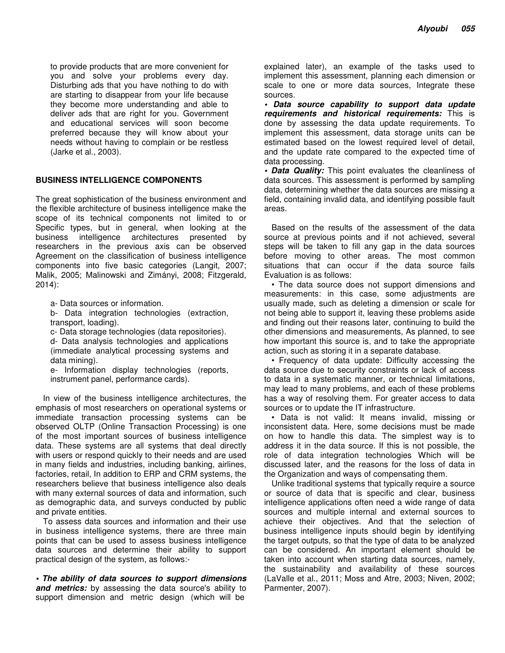to provide products that are more convenient for you and solve your problems every day. Disturbing ads that you have nothing to do with are starting to disappear from your life because they become more understanding and able to deliver ads that are right for you. Government and educational services will soon become preferred because they will know about your needs without having to complain or be restless (Jarke et al., 2003).

## **BUSINESS INTELLIGENCE COMPONENTS**

The great sophistication of the business environment and the flexible architecture of business intelligence make the scope of its technical components not limited to or Specific types, but in general, when looking at the business intelligence architectures presented by researchers in the previous axis can be observed Agreement on the classification of business intelligence components into five basic categories (Langit, 2007; Malik, 2005; Malinowski and Zimányi, 2008; Fitzgerald, 2014):

a- Data sources or information.

b- Data integration technologies (extraction, transport, loading).

c- Data storage technologies (data repositories).

d- Data analysis technologies and applications (immediate analytical processing systems and data mining).

e- Information display technologies (reports, instrument panel, performance cards).

In view of the business intelligence architectures, the emphasis of most researchers on operational systems or immediate transaction processing systems can be observed OLTP (Online Transaction Processing) is one of the most important sources of business intelligence data. These systems are all systems that deal directly with users or respond quickly to their needs and are used in many fields and industries, including banking, airlines, factories, retail, In addition to ERP and CRM systems, the researchers believe that business intelligence also deals with many external sources of data and information, such as demographic data, and surveys conducted by public and private entities.

To assess data sources and information and their use in business intelligence systems, there are three main points that can be used to assess business intelligence data sources and determine their ability to support practical design of the system, as follows:-

*• The ability of data sources to support dimensions and metrics:* by assessing the data source's ability to support dimension and metric design (which will be

explained later), an example of the tasks used to implement this assessment, planning each dimension or scale to one or more data sources, Integrate these sources.

*• Data source capability to support data update requirements and historical requirements:* This is done by assessing the data update requirements. To implement this assessment, data storage units can be estimated based on the lowest required level of detail, and the update rate compared to the expected time of data processing.

*• Data Quality:* This point evaluates the cleanliness of data sources. This assessment is performed by sampling data, determining whether the data sources are missing a field, containing invalid data, and identifying possible fault areas.

Based on the results of the assessment of the data source at previous points and if not achieved, several steps will be taken to fill any gap in the data sources before moving to other areas. The most common situations that can occur if the data source fails Evaluation is as follows:

• The data source does not support dimensions and measurements: in this case, some adjustments are usually made, such as deleting a dimension or scale for not being able to support it, leaving these problems aside and finding out their reasons later, continuing to build the other dimensions and measurements, As planned, to see how important this source is, and to take the appropriate action, such as storing it in a separate database.

• Frequency of data update: Difficulty accessing the data source due to security constraints or lack of access to data in a systematic manner, or technical limitations, may lead to many problems, and each of these problems has a way of resolving them. For greater access to data sources or to update the IT infrastructure.

• Data is not valid: It means invalid, missing or inconsistent data. Here, some decisions must be made on how to handle this data. The simplest way is to address it in the data source. If this is not possible, the role of data integration technologies Which will be discussed later, and the reasons for the loss of data in the Organization and ways of compensating them.

Unlike traditional systems that typically require a source or source of data that is specific and clear, business intelligence applications often need a wide range of data sources and multiple internal and external sources to achieve their objectives. And that the selection of business intelligence inputs should begin by identifying the target outputs, so that the type of data to be analyzed can be considered. An important element should be taken into account when starting data sources, namely, the sustainability and availability of these sources (LaValle et al., 2011; Moss and Atre, 2003; Niven, 2002; Parmenter, 2007).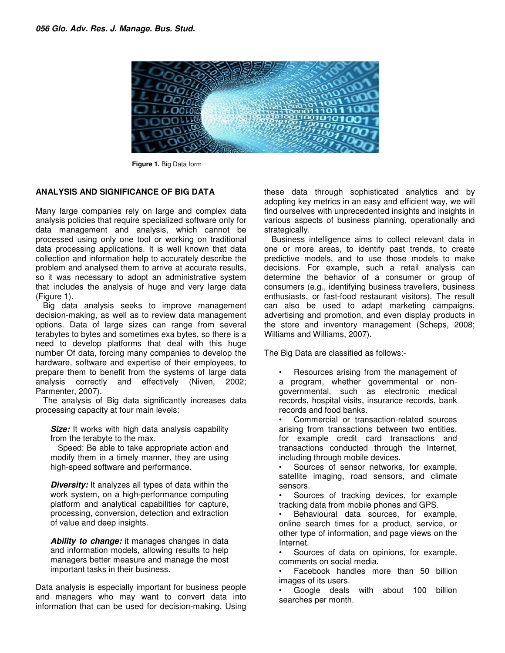

**Figure 1.** Big Data form

## **ANALYSIS AND SIGNIFICANCE OF BIG DATA**

Many large companies rely on large and complex data analysis policies that require specialized software only for data management and analysis, which cannot be processed using only one tool or working on traditional data processing applications. It is well known that data collection and information help to accurately describe the problem and analysed them to arrive at accurate results, so it was necessary to adopt an administrative system that includes the analysis of huge and very large data (Figure 1).

Big data analysis seeks to improve management decision-making, as well as to review data management options. Data of large sizes can range from several terabytes to bytes and sometimes exa bytes, so there is a need to develop platforms that deal with this huge number Of data, forcing many companies to develop the hardware, software and expertise of their employees, to prepare them to benefit from the systems of large data analysis correctly and effectively (Niven, 2002; Parmenter, 2007).

The analysis of Big data significantly increases data processing capacity at four main levels:

*Size:* It works with high data analysis capability from the terabyte to the max.

Speed: Be able to take appropriate action and modify them in a timely manner, they are using high-speed software and performance.

*Diversity:* It analyzes all types of data within the work system, on a high-performance computing platform and analytical capabilities for capture, processing, conversion, detection and extraction of value and deep insights.

*Ability to change:* it manages changes in data and information models, allowing results to help managers better measure and manage the most important tasks in their business.

Data analysis is especially important for business people and managers who may want to convert data into information that can be used for decision-making. Using these data through sophisticated analytics and by adopting key metrics in an easy and efficient way, we will find ourselves with unprecedented insights and insights in various aspects of business planning, operationally and strategically.

Business intelligence aims to collect relevant data in one or more areas, to identify past trends, to create predictive models, and to use those models to make decisions. For example, such a retail analysis can determine the behavior of a consumer or group of consumers (e.g., identifying business travellers, business enthusiasts, or fast-food restaurant visitors). The result can also be used to adapt marketing campaigns, advertising and promotion, and even display products in the store and inventory management (Scheps, 2008; Williams and Williams, 2007).

The Big Data are classified as follows:-

• Resources arising from the management of a program, whether governmental or nongovernmental, such as electronic medical records, hospital visits, insurance records, bank records and food banks.

• Commercial or transaction-related sources arising from transactions between two entities, for example credit card transactions and transactions conducted through the Internet, including through mobile devices.

• Sources of sensor networks, for example, satellite imaging, road sensors, and climate sensors.

Sources of tracking devices, for example tracking data from mobile phones and GPS.

• Behavioural data sources, for example, online search times for a product, service, or other type of information, and page views on the Internet.

Sources of data on opinions, for example, comments on social media.

• Facebook handles more than 50 billion images of its users.

Google deals with about 100 billion searches per month.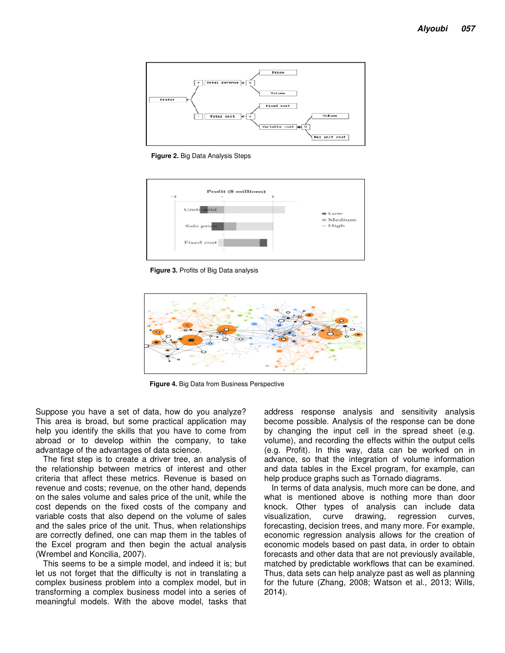

**Figure 2.** Big Data Analysis Steps



**Figure 3.** Profits of Big Data analysis



**Figure 4.** Big Data from Business Perspective

Suppose you have a set of data, how do you analyze? This area is broad, but some practical application may help you identify the skills that you have to come from abroad or to develop within the company, to take advantage of the advantages of data science.

The first step is to create a driver tree, an analysis of the relationship between metrics of interest and other criteria that affect these metrics. Revenue is based on revenue and costs; revenue, on the other hand, depends on the sales volume and sales price of the unit, while the cost depends on the fixed costs of the company and variable costs that also depend on the volume of sales and the sales price of the unit. Thus, when relationships are correctly defined, one can map them in the tables of the Excel program and then begin the actual analysis (Wrembel and Koncilia, 2007).

This seems to be a simple model, and indeed it is; but let us not forget that the difficulty is not in translating a complex business problem into a complex model, but in transforming a complex business model into a series of meaningful models. With the above model, tasks that address response analysis and sensitivity analysis become possible. Analysis of the response can be done by changing the input cell in the spread sheet (e.g. volume), and recording the effects within the output cells (e.g. Profit). In this way, data can be worked on in advance, so that the integration of volume information and data tables in the Excel program, for example, can help produce graphs such as Tornado diagrams.

In terms of data analysis, much more can be done, and what is mentioned above is nothing more than door knock. Other types of analysis can include data visualization, curve drawing, regression curves, forecasting, decision trees, and many more. For example, economic regression analysis allows for the creation of economic models based on past data, in order to obtain forecasts and other data that are not previously available, matched by predictable workflows that can be examined. Thus, data sets can help analyze past as well as planning for the future (Zhang, 2008; Watson et al., 2013; Wills, 2014).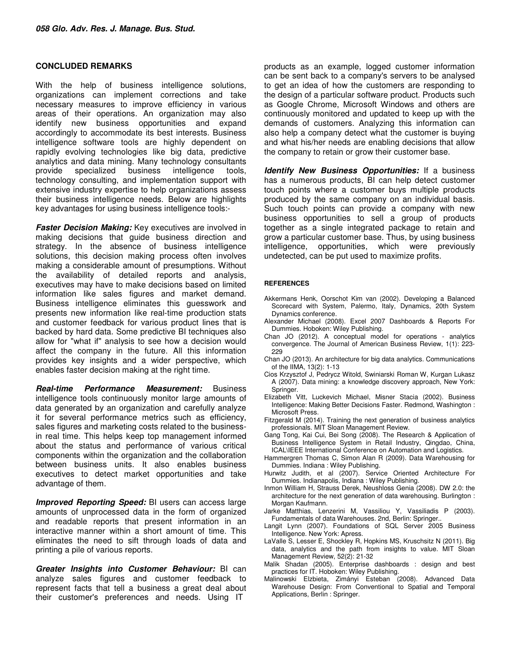#### **CONCLUDED REMARKS**

With the help of business intelligence solutions, organizations can implement corrections and take necessary measures to improve efficiency in various areas of their operations. An organization may also identify new business opportunities and expand accordingly to accommodate its best interests. Business intelligence software tools are highly dependent on rapidly evolving technologies like big data, predictive analytics and data mining. Many technology consultants provide specialized business intelligence tools, technology consulting, and implementation support with extensive industry expertise to help organizations assess their business intelligence needs. Below are highlights key advantages for using business intelligence tools:-

*Faster Decision Making:* Key executives are involved in making decisions that guide business direction and strategy. In the absence of business intelligence solutions, this decision making process often involves making a considerable amount of presumptions. Without the availability of detailed reports and analysis, executives may have to make decisions based on limited information like sales figures and market demand. Business intelligence eliminates this guesswork and presents new information like real-time production stats and customer feedback for various product lines that is backed by hard data. Some predictive BI techniques also allow for "what if" analysis to see how a decision would affect the company in the future. All this information provides key insights and a wider perspective, which enables faster decision making at the right time.

*Real-time Performance Measurement:* Business intelligence tools continuously monitor large amounts of data generated by an organization and carefully analyze it for several performance metrics such as efficiency, sales figures and marketing costs related to the businessin real time. This helps keep top management informed about the status and performance of various critical components within the organization and the collaboration between business units. It also enables business executives to detect market opportunities and take advantage of them.

*Improved Reporting Speed: BI users can access large* amounts of unprocessed data in the form of organized and readable reports that present information in an interactive manner within a short amount of time. This eliminates the need to sift through loads of data and printing a pile of various reports.

*Greater Insights into Customer Behaviour:* BI can analyze sales figures and customer feedback to represent facts that tell a business a great deal about their customer's preferences and needs. Using IT

products as an example, logged customer information can be sent back to a company's servers to be analysed to get an idea of how the customers are responding to the design of a particular software product. Products such as Google Chrome, Microsoft Windows and others are continuously monitored and updated to keep up with the demands of customers. Analyzing this information can also help a company detect what the customer is buying and what his/her needs are enabling decisions that allow the company to retain or grow their customer base.

*Identify New Business Opportunities:* If a business has a numerous products, BI can help detect customer touch points where a customer buys multiple products produced by the same company on an individual basis. Such touch points can provide a company with new business opportunities to sell a group of products together as a single integrated package to retain and grow a particular customer base. Thus, by using business intelligence, opportunities, which were previously undetected, can be put used to maximize profits.

#### **REFERENCES**

- Akkermans Henk, Oorschot Kim van (2002). Developing a Balanced Scorecard with System, Palermo, Italy, Dynamics, 20th System Dynamics conference.
- Alexander Michael (2008). Excel 2007 Dashboards & Reports For Dummies. Hoboken: Wiley Publishing.
- Chan JO (2012). A conceptual model for operations analytics convergence. The Journal of American Business Review, 1(1): 223- 229
- Chan JO (2013). An architecture for big data analytics. Communications of the IIMA, 13(2): 1-13
- Cios Krzysztof J, Pedrycz Witold, Swiniarski Roman W, Kurgan Lukasz A (2007). Data mining: a knowledge discovery approach, New York: Springer.
- Elizabeth Vitt, Luckevich Michael, Misner Stacia (2002). Business Intelligence: Making Better Decisions Faster. Redmond, Washington : Microsoft Press.
- Fitzgerald M (2014). Training the next generation of business analytics professionals. MIT Sloan Management Review.
- Gang Tong, Kai Cui, Bei Song (2008). The Research & Application of Business Intelligence System in Retail Industry, Qingdao, China, ICAL\IEEE International Conference on Automation and Logistics.
- Hammergren Thomas C, Simon Alan R (2009). Data Warehousing for Dummies. Indiana : Wiley Publishing.
- Hurwitz Judith, et al (2007). Service Oriented Architecture For Dummies. Indianapolis, Indiana : Wiley Publishing.
- Inmon William H, Strauss Derek, Neushloss Genia (2008). DW 2.0: the architecture for the next generation of data warehousing. Burlington : Morgan Kaufmann.
- Jarke Matthias, Lenzerini M, Vassiliou Y, Vassiliadis P (2003). Fundamentals of data Warehouses. 2nd, Berlin: Springer..
- Langit Lynn (2007). Foundations of SQL Server 2005 Business Intelligence. New York: Apress.
- LaValle S, Lesser E, Shockley R, Hopkins MS, Kruschsitz N (2011). Big data, analytics and the path from insights to value. MIT Sloan Management Review, 52(2): 21-32
- Malik Shadan (2005). Enterprise dashboards : design and best practices for IT. Hoboken: Wiley Publishing.
- Malinowski Elzbieta, Zimányi Esteban (2008). Advanced Data Warehouse Design: From Conventional to Spatial and Temporal Applications, Berlin : Springer.